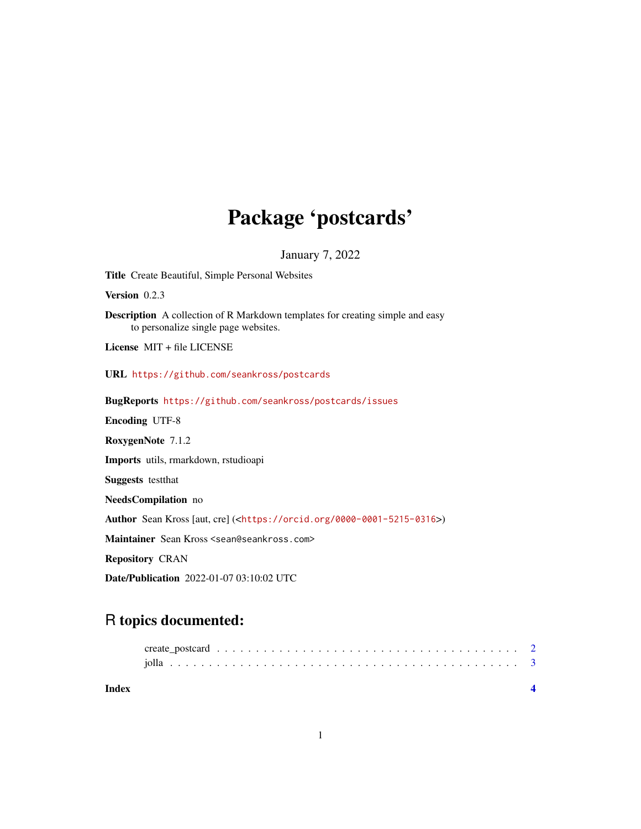## Package 'postcards'

January 7, 2022

<span id="page-0-0"></span>Title Create Beautiful, Simple Personal Websites

Version 0.2.3

Description A collection of R Markdown templates for creating simple and easy to personalize single page websites.

License MIT + file LICENSE

URL <https://github.com/seankross/postcards>

BugReports <https://github.com/seankross/postcards/issues>

Encoding UTF-8

RoxygenNote 7.1.2

Imports utils, rmarkdown, rstudioapi

Suggests testthat

NeedsCompilation no

Author Sean Kross [aut, cre] (<<https://orcid.org/0000-0001-5215-0316>>)

Maintainer Sean Kross <sean@seankross.com>

Repository CRAN

Date/Publication 2022-01-07 03:10:02 UTC

### R topics documented:

| Index |  |  |  |  |  |  |  |  |  |  |  |  |  |  |  |  |  |  |
|-------|--|--|--|--|--|--|--|--|--|--|--|--|--|--|--|--|--|--|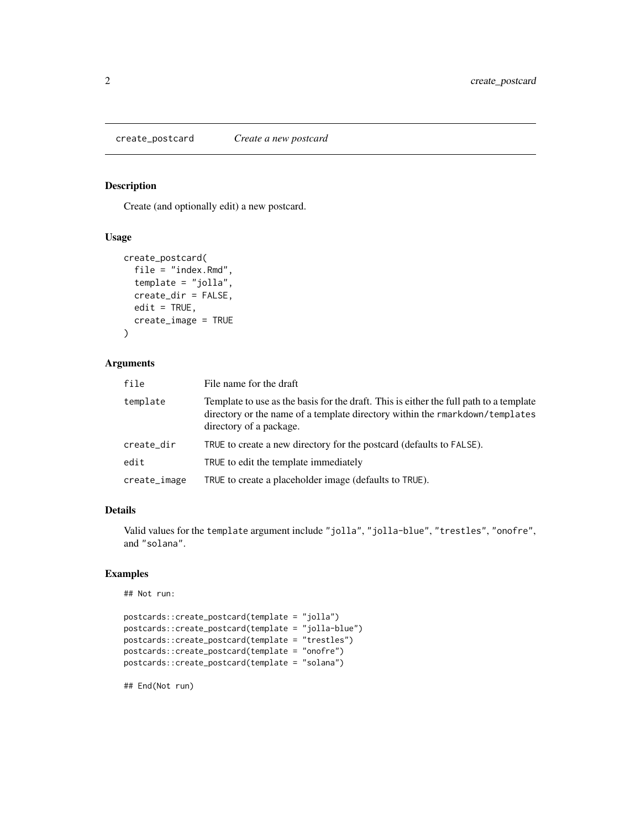<span id="page-1-0"></span>create\_postcard *Create a new postcard*

#### Description

Create (and optionally edit) a new postcard.

#### Usage

```
create_postcard(
  file = "index.Rmd",
  template = "jolla",
  create_dir = FALSE,
 edit = TRUE,create_image = TRUE
)
```
#### Arguments

| file         | File name for the draft                                                                                                                                                                           |
|--------------|---------------------------------------------------------------------------------------------------------------------------------------------------------------------------------------------------|
| template     | Template to use as the basis for the draft. This is either the full path to a template<br>directory or the name of a template directory within the rmarkdown/templates<br>directory of a package. |
| create_dir   | TRUE to create a new directory for the postcard (defaults to FALSE).                                                                                                                              |
| edit         | TRUE to edit the template immediately                                                                                                                                                             |
| create_image | TRUE to create a placeholder image (defaults to TRUE).                                                                                                                                            |

#### Details

Valid values for the template argument include "jolla", "jolla-blue", "trestles", "onofre", and "solana".

#### Examples

```
## Not run:
```

```
postcards::create_postcard(template = "jolla")
postcards::create_postcard(template = "jolla-blue")
postcards::create_postcard(template = "trestles")
postcards::create_postcard(template = "onofre")
postcards::create_postcard(template = "solana")
```
## End(Not run)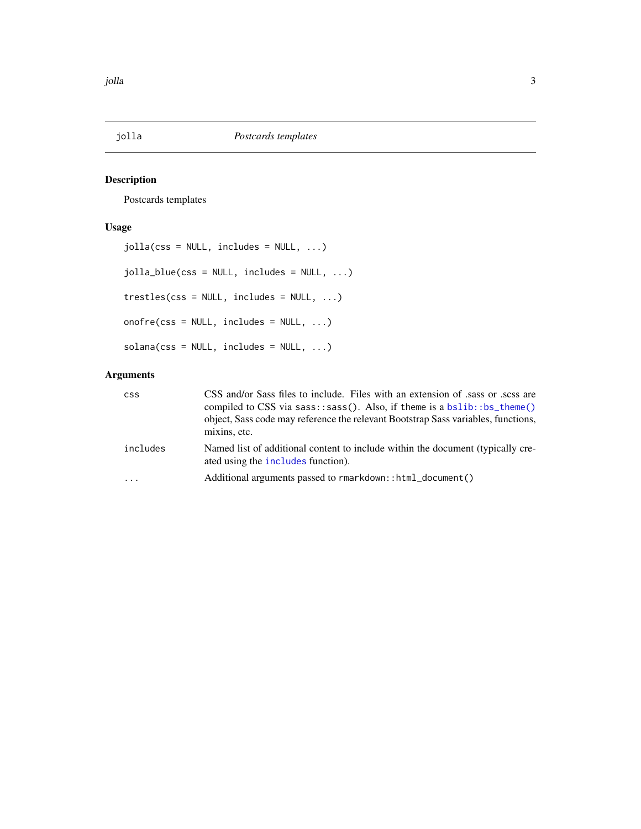<span id="page-2-0"></span>

#### Description

Postcards templates

#### Usage

```
jolla(css = NULL, includes = NULL, ...)jolla_blue(css = NULL, includes = NULL, ...)
trestles(css = NULL, includes = NULL, ...)
onofre(css = NULL, includes = NULL, ...)
solana(css = NULL, includes = NULL, ...)
```
#### Arguments

| <b>CSS</b> | CSS and/or Sass files to include. Files with an extension of sass or scss are<br>compiled to CSS via sass: : sass(). Also, if theme is a bslib: : bs_theme()<br>object, Sass code may reference the relevant Bootstrap Sass variables, functions,<br>mixins, etc. |
|------------|-------------------------------------------------------------------------------------------------------------------------------------------------------------------------------------------------------------------------------------------------------------------|
| includes   | Named list of additional content to include within the document (typically cre-<br>ated using the <b>includes</b> function).                                                                                                                                      |
| $\cdots$   | Additional arguments passed to rmarkdown::html_document()                                                                                                                                                                                                         |